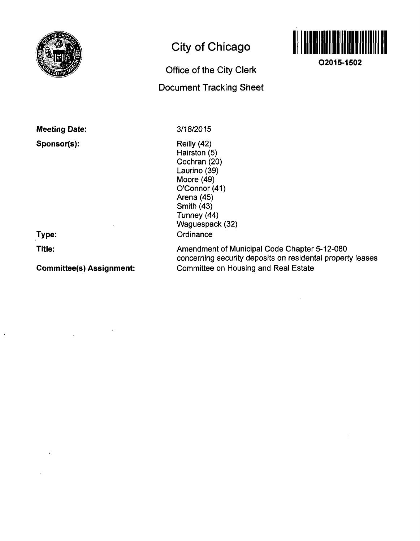

# **City of Chicago**

## **Office of the City Clerk Document Tracking Sheet**



**O2015-1502** 

**Meeting Date:** 

**Sponsor(s):** 

**Type:** 

**Title:** 

**Committee(s) Assignment:** 

3/18/2015

Reilly (42) Hairston (5) Cochran (20) Laurino (39) Moore (49) O'Connor (41) Arena (45) Smith (43) Tunney (44) Waguespack (32) **Ordinance** 

Amendment of Municipal Code Chapter 5-12-080 concerning security deposits on residental property leases Committee on Housing and Real Estate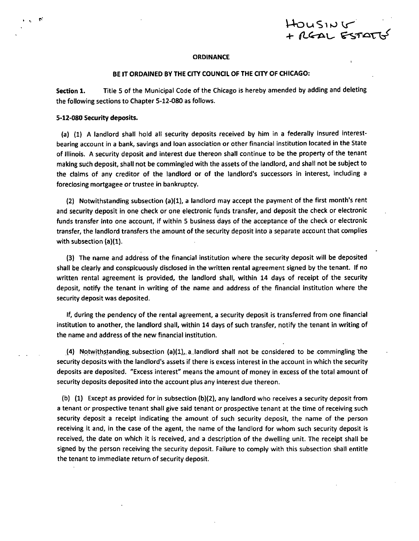OUSING

### **ORDINANCE**

### **BE IT ORDAINED BY THE CITY COUNCIL OF THE CITY OF CHICAGO:**

Section 1. Title 5 of the Municipal Code of the Chicago is hereby amended by adding and deleting the following sections to Chapter 5-12-080 as follows.

### **5-12-080 Security deposits.**

**r** 

(a) (1) A landlord shall hold all security deposits received by him in a federally Insured interestbeanng account in a bank, savings and loan association or other financial institution located in the State of Illinois. A security deposit and interest due thereon shall continue to be the property of the tenant making such deposit, shall not be commingled with the assets of the landlord, and shall not be subject to the claims of any creditor of the landlord or of the landlord's successors in interest, including a foreclosing mortgagee or trustee in bankruptcy.

(2) Notwithstanding subsection (a)(1), a landlord may accept the payment of the first month's rent and security deposit in one check or one electronic funds transfer, and deposit the check or electronic funds transfer into one account, if within 5 business days of the acceptance of the check or electronic transfer, the landlord transfers the amount ofthe security deposit into a separate account that complies with subsection (a)(1).

(3) The name and address of the financial institution where the security deposit will be deposited shall be clearty and conspicuously disclosed in the written rental agreement signed by the tenant. If no written rental agreement is provided, the landlord shall, within 14 days of receipt of the security deposit, notify the tenant in writing of the name and address of the financial institution where the security deposit was deposited.

If, during the pendency of the rental agreement, a security deposit is transferred from one financial institution to another, the landlord shall, within 14 days of such transfer, notify the tenant in writing of the name and address of the new financial institution.

(4) Notwithstanding subsection  $(a)(1)$ , a landlord shall not be considered to be commingling the security deposits with the landlord's assets if there is excess interest in the account in which the security deposits are deposited. "Excess interest" means the amount of money in excess of the total amount of security deposits deposited into the account plus any interest due thereon.

(b) (1) Except as provided for in subsection (b)(2), any landlord who receives a security deposit from a tenant or prospective tenant shall give said tenant or prospective tenant at the time of receiving such security deposit a receipt indicating the amount of such secunty deposit, the name of the person receiving it and, in the case of the agent, the name of the landlord for whom such security deposit is received, the date on which it is received, and a description of the dwelling unit. The receipt shall be signed by the person receiving the security deposit. Failure to comply with this subsection shall entitle the tenant to immediate return of security deposit.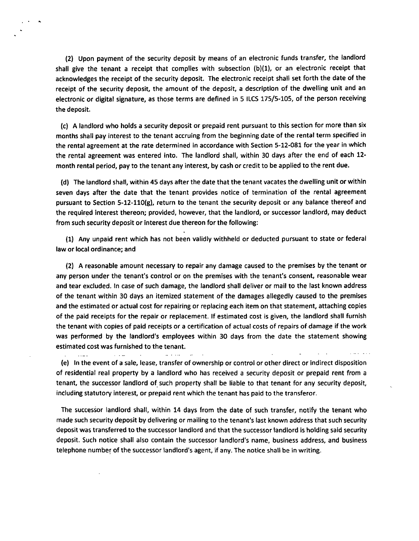(2) Upon payment of the security deposit by means of an electronic funds transfer, the landlord shall give the tenant a receipt that complies with subsection (b)(1), or an electronic receipt that acknowledges the receipt of the security deposit. The electronic receipt shall set forth the date of the receipt of the security deposit, the amount of the deposit, a description of the dwelling unit and an electronic or digital signature, as those terms are defined in 5 ILCS 175/5-105, of the person receiving the deposit.

(c) A landlord who holds a security deposit or prepaid rent pursuant to this section for more than six months shall pay interest to the tenant accruing from the beginning date of the rental term specified in the rental agreement at the rate determined in accordance with Section 5-12-081 for the year in which the rental agreement was entered into. The landlord shall, within 30 days after the end of each 12 month rental period, pay to the tenant any interest, by cash or credit to be applied to the rent due.

(d) The landlord shall, within 45 days after the date that the tenant vacates the dwelling unit or within seven days after the date that the tenant provides notice of termination of the rental agreement pursuant to Section 5-12-110(g), return to the tenant the security deposit or any balance thereof and the required interest thereon; provided, however, that the landlord, or successor landlord, may deduct from such secunty deposit or interest due thereon for the following:

(1) Any unpaid rent which has not been validly withheld or deducted pursuant to state or federal law or local ordinance; and

(2) A reasonable amount necessary to repair any damage caused to the premises by the tenant or any person under the tenant's control or on the premises with the tenant's consent, reasonable wear and tear excluded. In case of such damage, the landlord shall deliver or mail to the last known address of the tenant within 30 days an itemized statement of the damages allegedly caused to the premises and the estimated or actual cost for repairing or replacing each item on that statement, attaching copies of the paid receipts for the repair or replacement. If estimated cost is given, the landlord shall furnish the tenant with copies of paid receipts or a certification of actual costs of repairs of damage if the work was performed by the landlord's employees within 30 days from the date the statement showing estimated cost was furnished to the tenant.

(e) In the event of a sale, lease, transfer of ownership or control or other direct or indirect disposition of residential real property by a landlord who has received a security deposit or prepaid rent from a tenant, the successor landlord of such property shall be liable to that tenant for any security deposit, including statutory interest, or prepaid rent which the tenant has paid to the transferor.

 $\mathbf{u}$  and  $\mathbf{u}$ 

 $\sim$   $\sim$   $\sim$ 

The successor landlord shall, within 14 days from the date of such transfer, notify the tenant who made such security deposit by delivering or mailing to the tenant's last known address that such security deposit was transferred to the successor landlord and that the successor landlord is holding said security deposit. Such notice shall also contain the successor landlord's name, business address, and business telephone number of the successor landlord's agent, if any. The notice shall be in writing.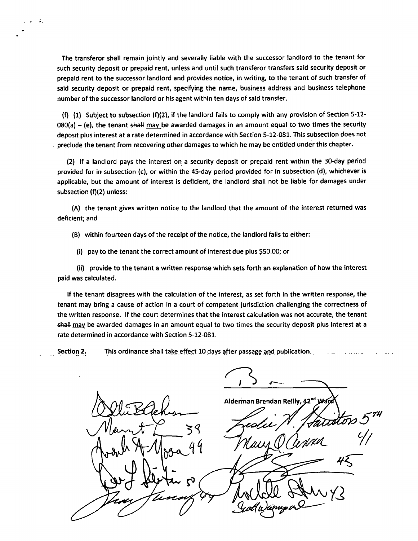The transferor shall remain jointly and severally liable with the successor landlord to the tenant for such security deposit or prepaid rent, unless and until such transferor transfers said security deposit or prepaid rent to the successor landlord and provides notice, in writing, to the tenant of such transfer of said security deposit or prepaid rent, specifying the name, business address and business telephone number of the successor landlord or his agent within ten days of said transfer.

A.

(f) (1) Subject to subsection (f)(2), if the landlord fails to comply with any provision of Section 5-12-  $080(a) - (e)$ , the tenant shall may be awarded damages in an amount equal to two times the security deposit plus interest at a rate determined in accordance with Section 5-12-081. This subsection does not preclude the tenant from recovering other damages to which he may be entitled under this chapter.

(2) If a landlord pays the interest on a security deposit or prepaid rent within the 30-day period provided for in subsection (c), or within the 45-day period provided for in subsection (d), whichever is applicable, but the amount of interest is deficient, the landlord shall not be liable for damages under subsection (f)(2) unless:

(A) the tenant gives written notice to the landlord that the amount of the interest returned was deficient; and

(B) within fourteen days of the receipt of the notice, the landlord fails to either:

(i) pay to the tenant the correct amount of interest due plus \$50.00; or

(ii) provide to the tenant a written response which sets forth an explanation of how the interest paid was calculated.

If the tenant disagrees with the calculation of the interest, as set forth in the written response, the tenant may bring a cause of action in a court of competent jurisdiction challenging the correctness of the written response. If the court determines that the interest calculation was not accurate, the tenant shall may be awarded damages in an amount equal to two times the security deposit plus interest at a rate determined in accordance with Section 5-12-081.

Section 2. This ordinance shall take effect 10 days after passage and publication.

Alderman Brendan Reilly, 42<sup>nd</sup> W